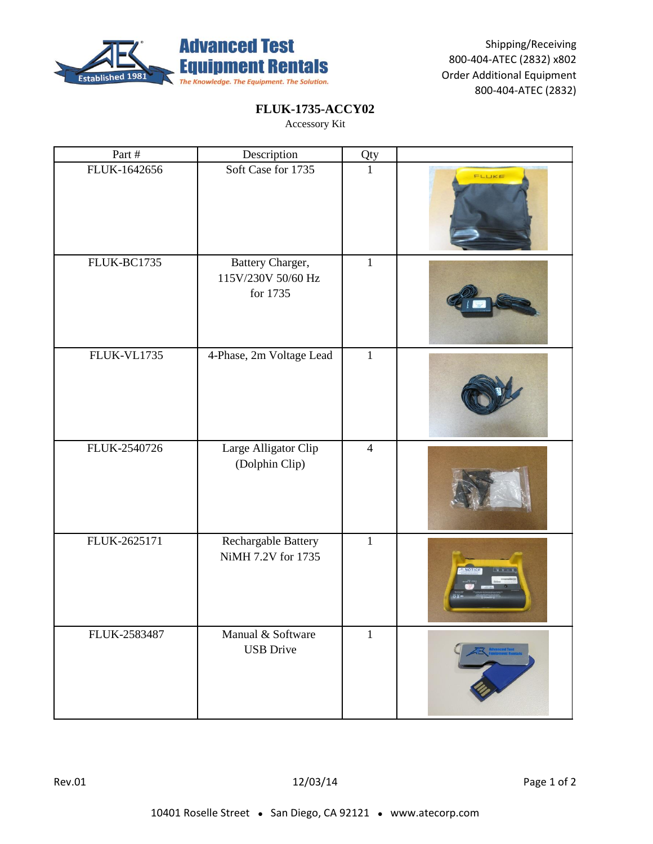

# **FLUK-1735-ACCY02**

Accessory Kit

| Part #       | Description                                        | Qty            |               |
|--------------|----------------------------------------------------|----------------|---------------|
| FLUK-1642656 | Soft Case for 1735                                 | $\mathbf{1}$   | FLUKE         |
| FLUK-BC1735  | Battery Charger,<br>115V/230V 50/60 Hz<br>for 1735 | $\mathbf 1$    |               |
| FLUK-VL1735  | 4-Phase, 2m Voltage Lead                           | $\mathbf{1}$   |               |
| FLUK-2540726 | Large Alligator Clip<br>(Dolphin Clip)             | $\overline{4}$ |               |
| FLUK-2625171 | Rechargable Battery<br>NiMH 7.2V for 1735          | $\mathbf{1}$   | <b>NOTICE</b> |
| FLUK-2583487 | Manual & Software<br><b>USB</b> Drive              | $\mathbf{1}$   |               |

Rev.01 12/03/14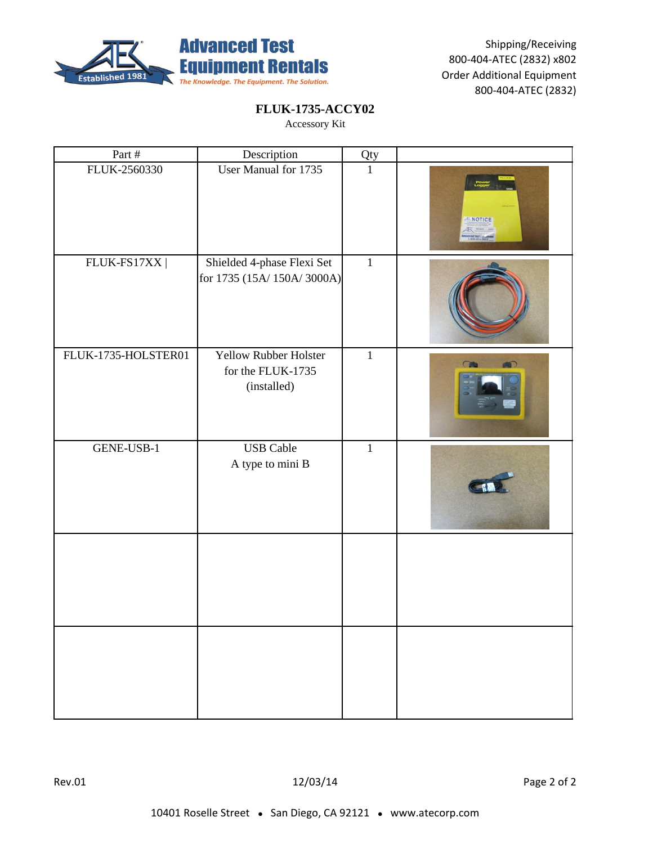

#### **FLUK-1735-ACCY02**

| Part #              | Description                                               | Qty          |                              |
|---------------------|-----------------------------------------------------------|--------------|------------------------------|
| FLUK-2560330        | User Manual for 1735                                      | $\mathbf{1}$ | <b>NOTICE</b><br><b>水 --</b> |
| FLUK-FS17XX         | Shielded 4-phase Flexi Set<br>for 1735 (15A/150A/3000A)   | $\mathbf{1}$ |                              |
| FLUK-1735-HOLSTER01 | Yellow Rubber Holster<br>for the FLUK-1735<br>(installed) | $\mathbf{1}$ | CA                           |
| GENE-USB-1          | <b>USB</b> Cable<br>A type to mini B                      | $\mathbf{1}$ |                              |
|                     |                                                           |              |                              |
|                     |                                                           |              |                              |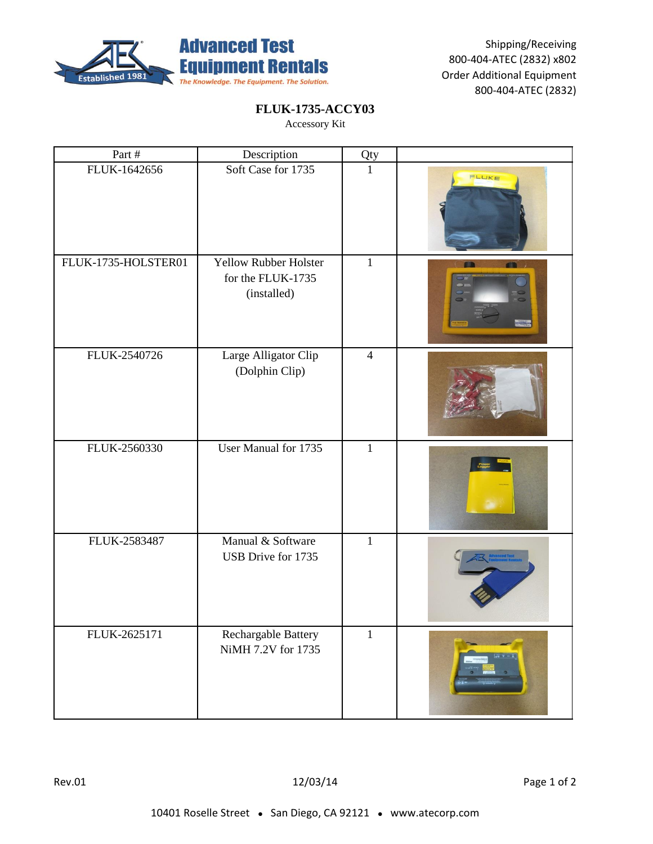

# **FLUK-1735-ACCY03**

| Part #              | Description                                                      | Qty            |                          |
|---------------------|------------------------------------------------------------------|----------------|--------------------------|
| FLUK-1642656        | Soft Case for 1735                                               | $\mathbf{1}$   | FLUKE                    |
| FLUK-1735-HOLSTER01 | <b>Yellow Rubber Holster</b><br>for the FLUK-1735<br>(installed) | $\mathbf{1}$   |                          |
| FLUK-2540726        | Large Alligator Clip<br>(Dolphin Clip)                           | $\overline{4}$ |                          |
| FLUK-2560330        | User Manual for 1735                                             | $\mathbf{1}$   |                          |
| FLUK-2583487        | Manual & Software<br>USB Drive for 1735                          | $\mathbf{1}$   |                          |
| FLUK-2625171        | Rechargable Battery<br>NiMH 7.2V for 1735                        | $\mathbf{1}$   | $\sqrt{2}$ or $\sqrt{2}$ |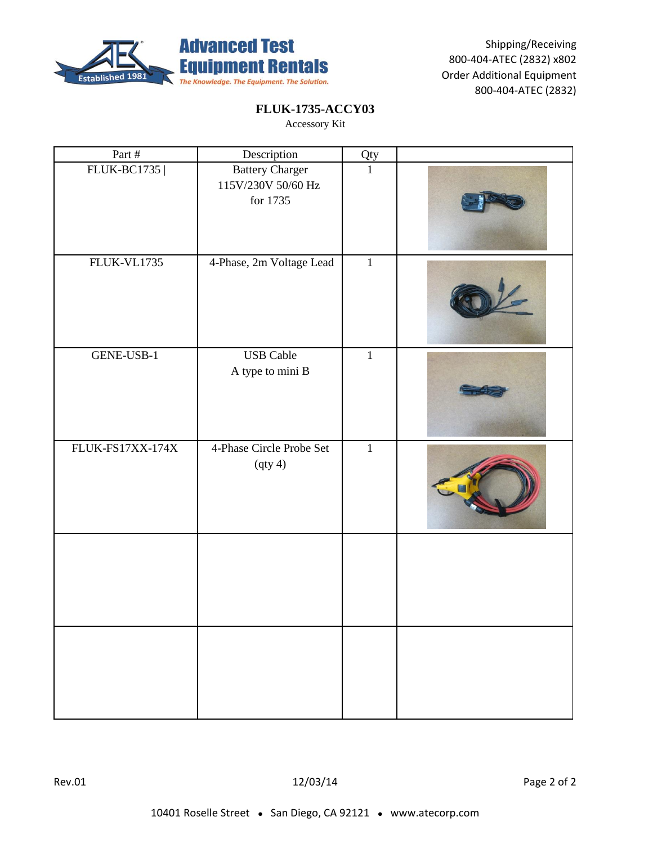

# **FLUK-1735-ACCY03**

| Part #             | Description                                              | Qty          |  |
|--------------------|----------------------------------------------------------|--------------|--|
| <b>FLUK-BC1735</b> | <b>Battery Charger</b><br>115V/230V 50/60 Hz<br>for 1735 | $\mathbf{1}$ |  |
| FLUK-VL1735        | 4-Phase, 2m Voltage Lead                                 | $\,1$        |  |
| GENE-USB-1         | <b>USB</b> Cable<br>A type to mini B                     | $\mathbf{1}$ |  |
| FLUK-FS17XX-174X   | 4-Phase Circle Probe Set<br>(qty 4)                      | $\mathbf{1}$ |  |
|                    |                                                          |              |  |
|                    |                                                          |              |  |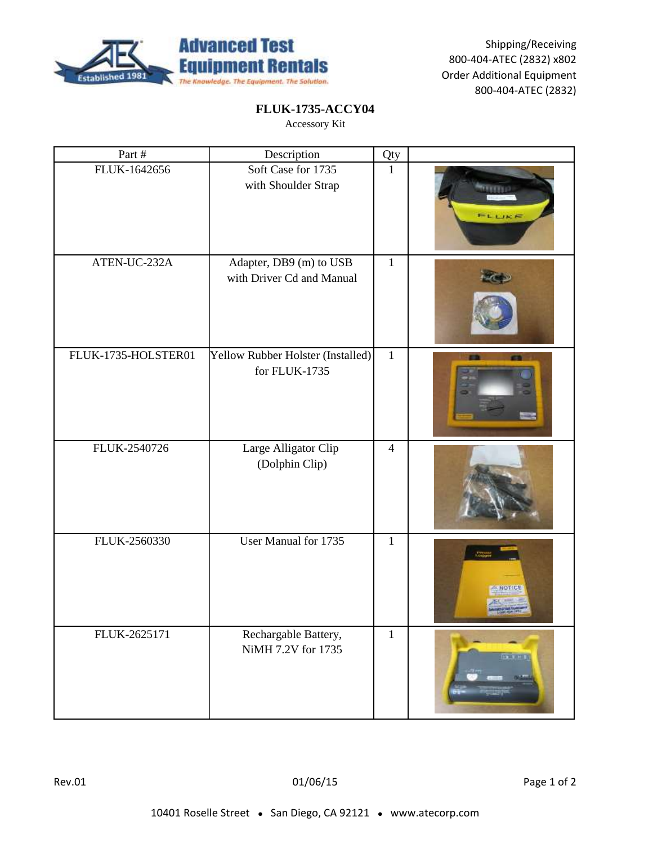

# **FLUK-1735-ACCY04**

| Part #              | Description                                          | Qty            |                 |
|---------------------|------------------------------------------------------|----------------|-----------------|
| FLUK-1642656        | Soft Case for 1735<br>with Shoulder Strap            | $\mathbf{1}$   | FLLIKE          |
| ATEN-UC-232A        | Adapter, DB9 (m) to USB<br>with Driver Cd and Manual | $\mathbf{1}$   |                 |
| FLUK-1735-HOLSTER01 | Yellow Rubber Holster (Installed)<br>for FLUK-1735   | $\mathbf{1}$   |                 |
| FLUK-2540726        | Large Alligator Clip<br>(Dolphin Clip)               | $\overline{4}$ |                 |
| FLUK-2560330        | User Manual for 1735                                 | $\mathbf{1}$   |                 |
| FLUK-2625171        | Rechargable Battery,<br>NiMH 7.2V for 1735           | $\mathbf{1}$   | <b>Bx 3</b> H V |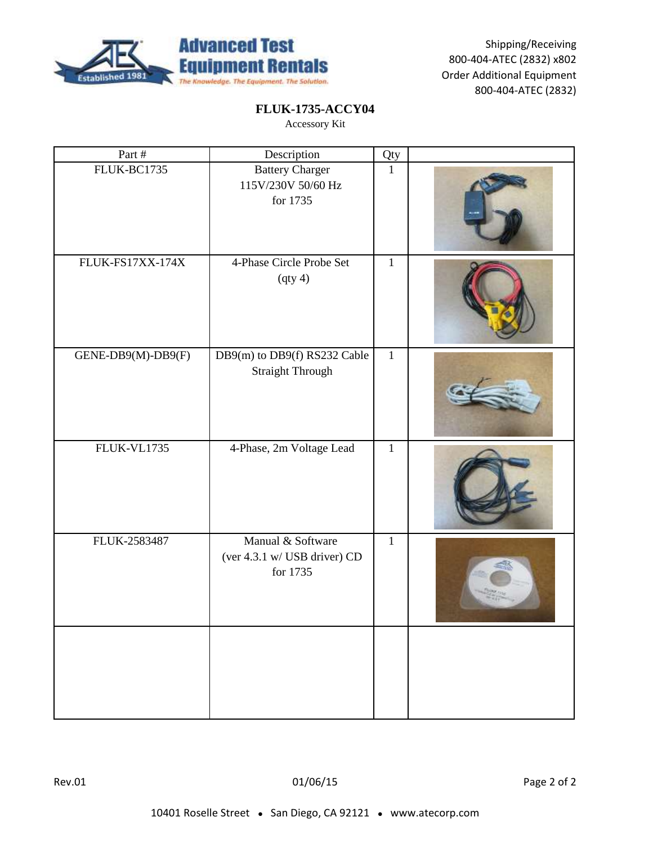

# **FLUK-1735-ACCY04**

| Part #             | Description                                                   | Qty          |  |
|--------------------|---------------------------------------------------------------|--------------|--|
| FLUK-BC1735        | <b>Battery Charger</b><br>115V/230V 50/60 Hz<br>for 1735      | $\mathbf{1}$ |  |
| FLUK-FS17XX-174X   | 4-Phase Circle Probe Set<br>(qty 4)                           | $\mathbf{1}$ |  |
| GENE-DB9(M)-DB9(F) | DB9(m) to DB9(f) RS232 Cable<br><b>Straight Through</b>       | $\mathbf{1}$ |  |
| FLUK-VL1735        | 4-Phase, 2m Voltage Lead                                      | $\mathbf{1}$ |  |
| FLUK-2583487       | Manual & Software<br>(ver 4.3.1 w/ USB driver) CD<br>for 1735 | $\mathbf{1}$ |  |
|                    |                                                               |              |  |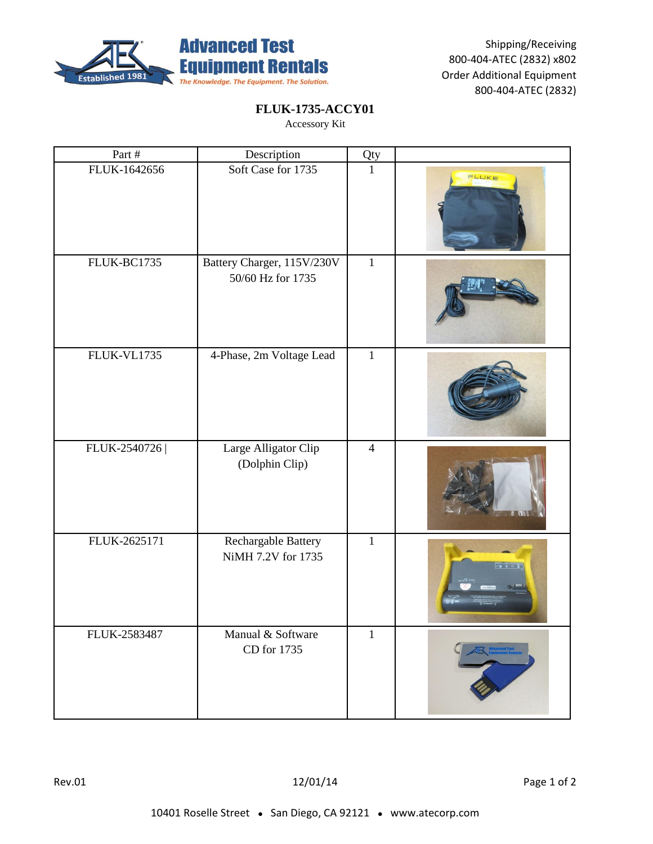

# **FLUK-1735-ACCY01**

| Part #             | Description                                     | Qty            |                                |
|--------------------|-------------------------------------------------|----------------|--------------------------------|
| FLUK-1642656       | Soft Case for 1735                              | $\mathbf{1}$   | FLUKE                          |
| FLUK-BC1735        | Battery Charger, 115V/230V<br>50/60 Hz for 1735 | $\mathbf{1}$   |                                |
| <b>FLUK-VL1735</b> | 4-Phase, 2m Voltage Lead                        | $\mathbf{1}$   |                                |
| FLUK-2540726       | Large Alligator Clip<br>(Dolphin Clip)          | $\overline{4}$ |                                |
| FLUK-2625171       | Rechargable Battery<br>NiMH 7.2V for 1735       | $\mathbf{1}$   | $\mathbf{v}$ is a $\mathbf{v}$ |
| FLUK-2583487       | Manual & Software<br>CD for 1735                | $\,1$          |                                |